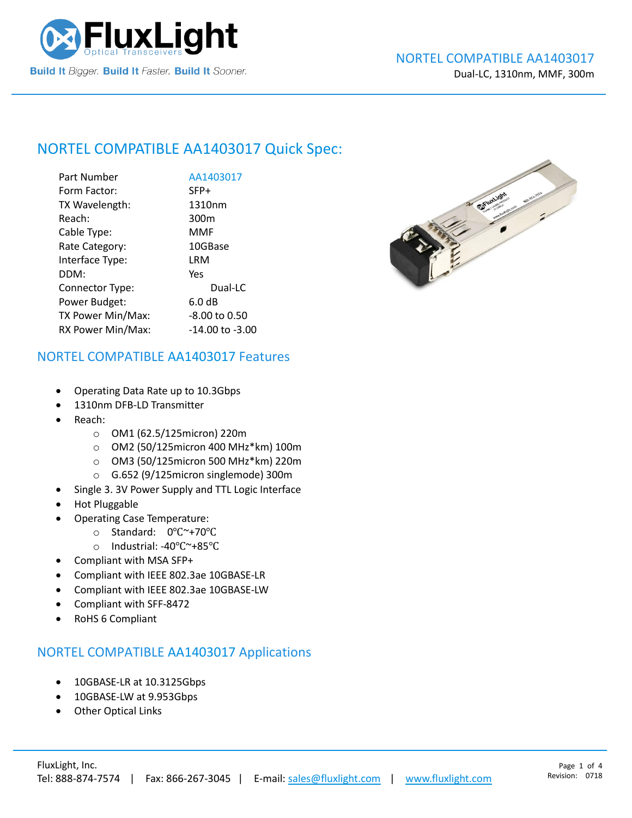

## NORTEL COMPATIBLE [AA1403017](https://www.fluxlight.com/) Quick Spec:

| Part Number       | AA1403017           |
|-------------------|---------------------|
| Form Factor:      | SFP+                |
| TX Wavelength:    | 1310nm              |
| Reach:            | 300 <sub>m</sub>    |
| Cable Type:       | <b>MMF</b>          |
| Rate Category:    | 10GBase             |
| Interface Type:   | LRM                 |
| DDM:              | Yes                 |
| Connector Type:   | Dual-LC             |
| Power Budget:     | 6.0 dB              |
| TX Power Min/Max: | -8.00 to 0.50       |
| RX Power Min/Max: | $-14.00$ to $-3.00$ |



#### NORTEL COMPATIBLE [AA1403017](https://www.fluxlight.com/) Features

- Operating Data Rate up to 10.3Gbps
- 1310nm DFB-LD Transmitter
- Reach:
	- o OM1 (62.5/125micron) 220m
	- o OM2 (50/125micron 400 MHz\*km) 100m
	- o OM3 (50/125micron 500 MHz\*km) 220m
	- o G.652 (9/125micron singlemode) 300m
- Single 3. 3V Power Supply and TTL Logic Interface
- Hot Pluggable
- Operating Case Temperature:
	- o Standard: 0℃~+70℃
	- o Industrial: -40℃~+85℃
- Compliant with MSA SFP+
- Compliant with IEEE 802.3ae 10GBASE-LR
- Compliant with IEEE 802.3ae 10GBASE-LW
- Compliant with SFF-8472
- RoHS 6 Compliant

#### NORTEL COMPATIBLE [AA1403017](https://www.fluxlight.com/) Applications

- 10GBASE-LR at 10.3125Gbps
- 10GBASE-LW at 9.953Gbps
- **Other Optical Links**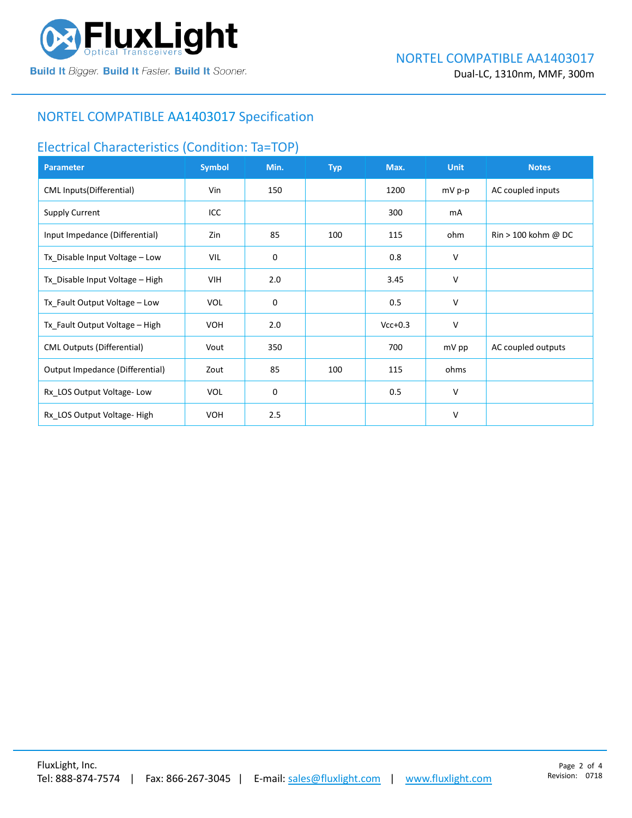

## NORTEL COMPATIBLE [AA1403017](https://www.fluxlight.com/) Specification

#### Electrical Characteristics (Condition: Ta=TOP)

| <b>Parameter</b>                  | <b>Symbol</b> | Min. | <b>Typ</b> | Max.      | <b>Unit</b> | <b>Notes</b>                          |
|-----------------------------------|---------------|------|------------|-----------|-------------|---------------------------------------|
| CML Inputs(Differential)          | Vin           | 150  |            | 1200      | mV p-p      | AC coupled inputs                     |
| <b>Supply Current</b>             | ICC           |      |            | 300       | mA          |                                       |
| Input Impedance (Differential)    | Zin           | 85   | 100        | 115       | ohm         | $\text{Rin} > 100 \text{ kohm } @$ DC |
| Tx_Disable Input Voltage - Low    | VIL           | 0    |            | 0.8       | V           |                                       |
| Tx_Disable Input Voltage - High   | VIH           | 2.0  |            | 3.45      | V           |                                       |
| Tx_Fault Output Voltage - Low     | <b>VOL</b>    | 0    |            | 0.5       | V           |                                       |
| Tx_Fault Output Voltage - High    | <b>VOH</b>    | 2.0  |            | $Vcc+0.3$ | V           |                                       |
| <b>CML Outputs (Differential)</b> | Vout          | 350  |            | 700       | mV pp       | AC coupled outputs                    |
| Output Impedance (Differential)   | Zout          | 85   | 100        | 115       | ohms        |                                       |
| Rx_LOS Output Voltage-Low         | <b>VOL</b>    | 0    |            | 0.5       | V           |                                       |
| Rx LOS Output Voltage-High        | <b>VOH</b>    | 2.5  |            |           | V           |                                       |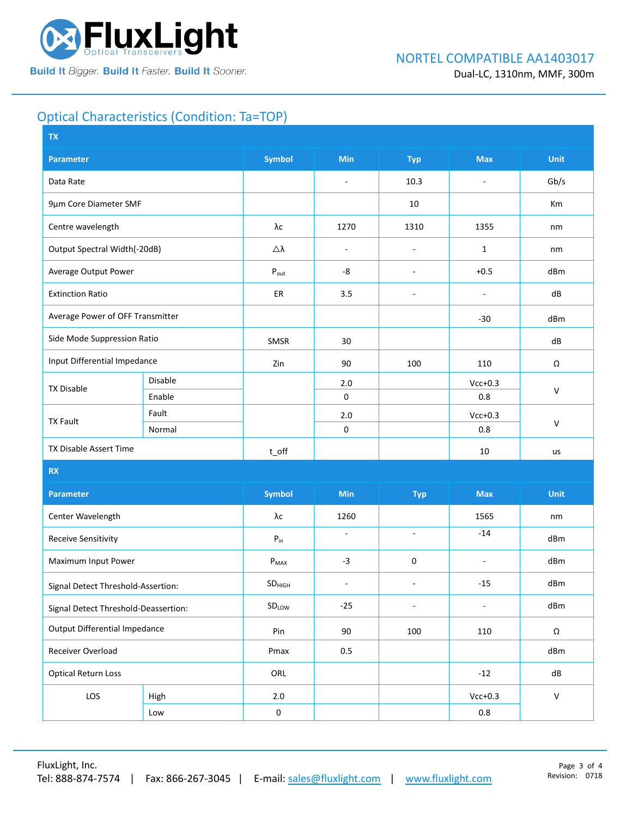

# Optical Characteristics (Condition: Ta=TOP)

| <b>Symbol</b><br>Min<br><b>Unit</b><br><b>Max</b><br><b>Parameter</b><br><b>Typ</b><br>Data Rate<br>10.3<br>Gb/s<br>$\overline{\phantom{a}}$<br>÷,<br>9µm Core Diameter SMF<br>10<br>Km<br>Centre wavelength<br>λс<br>1270<br>1310<br>1355<br>nm<br>Output Spectral Width(-20dB)<br>Δλ<br>1<br>nm<br>÷,<br>$\overline{\phantom{a}}$<br>Average Output Power<br>-8<br>$+0.5$<br>dBm<br>$P_{\text{out}}$<br>$\overline{\phantom{a}}$<br>3.5<br><b>Extinction Ratio</b><br>ER<br>dB<br>÷,<br>$\overline{\phantom{a}}$<br>Average Power of OFF Transmitter<br>$-30$<br>dBm<br>Side Mode Suppression Ratio<br>SMSR<br>30<br>dB<br>Input Differential Impedance<br>Zin<br>90<br>100<br>110<br>Ω<br>Disable<br>$Vcc+0.3$<br>2.0<br><b>TX Disable</b><br>$\vee$<br>$\pmb{0}$<br>Enable<br>0.8<br>Fault<br>$2.0$<br>$Vcc+0.3$<br><b>TX Fault</b><br>$\mathsf{V}$<br>$\mathbf 0$<br>Normal<br>0.8<br>TX Disable Assert Time<br>10<br>$t$ <sub>O</sub> ff<br>us<br>RX<br><b>Symbol</b><br>Min<br><b>Unit</b><br><b>Max</b><br><b>Parameter</b><br><b>Typ</b><br>Center Wavelength<br>λс<br>1260<br>1565<br>nm<br>$-14$<br>ä,<br>$\omega$<br><b>Receive Sensitivity</b><br>${\sf P}_{\sf in}$<br>dBm<br>Maximum Input Power<br>$-3$<br>0<br>dBm<br>$P_{MAX}$<br>$\blacksquare$<br>$-15$<br>dBm<br>SD <sub>HIGH</sub><br>$\overline{\phantom{a}}$<br>÷,<br>Signal Detect Threshold-Assertion:<br>dBm<br>SDLOW<br>$-25$<br>$\overline{\phantom{a}}$<br>$\overline{\phantom{a}}$<br>Signal Detect Threshold-Deassertion:<br><b>Output Differential Impedance</b><br>Pin<br>90<br>100<br>110<br>$\Omega$<br>Receiver Overload<br>Pmax<br>0.5<br>dBm<br><b>Optical Return Loss</b><br>ORL<br>dB<br>$-12$<br>LOS<br>$Vcc+0.3$<br>$\mathsf{V}$<br>$2.0\,$<br>High<br>$0.8\,$<br>$\pmb{0}$<br>Low | <b>TX</b> |  |  |  |  |  |  |  |
|-------------------------------------------------------------------------------------------------------------------------------------------------------------------------------------------------------------------------------------------------------------------------------------------------------------------------------------------------------------------------------------------------------------------------------------------------------------------------------------------------------------------------------------------------------------------------------------------------------------------------------------------------------------------------------------------------------------------------------------------------------------------------------------------------------------------------------------------------------------------------------------------------------------------------------------------------------------------------------------------------------------------------------------------------------------------------------------------------------------------------------------------------------------------------------------------------------------------------------------------------------------------------------------------------------------------------------------------------------------------------------------------------------------------------------------------------------------------------------------------------------------------------------------------------------------------------------------------------------------------------------------------------------------------------------------------------------------------------------------------------------------------------------|-----------|--|--|--|--|--|--|--|
|                                                                                                                                                                                                                                                                                                                                                                                                                                                                                                                                                                                                                                                                                                                                                                                                                                                                                                                                                                                                                                                                                                                                                                                                                                                                                                                                                                                                                                                                                                                                                                                                                                                                                                                                                                               |           |  |  |  |  |  |  |  |
|                                                                                                                                                                                                                                                                                                                                                                                                                                                                                                                                                                                                                                                                                                                                                                                                                                                                                                                                                                                                                                                                                                                                                                                                                                                                                                                                                                                                                                                                                                                                                                                                                                                                                                                                                                               |           |  |  |  |  |  |  |  |
|                                                                                                                                                                                                                                                                                                                                                                                                                                                                                                                                                                                                                                                                                                                                                                                                                                                                                                                                                                                                                                                                                                                                                                                                                                                                                                                                                                                                                                                                                                                                                                                                                                                                                                                                                                               |           |  |  |  |  |  |  |  |
|                                                                                                                                                                                                                                                                                                                                                                                                                                                                                                                                                                                                                                                                                                                                                                                                                                                                                                                                                                                                                                                                                                                                                                                                                                                                                                                                                                                                                                                                                                                                                                                                                                                                                                                                                                               |           |  |  |  |  |  |  |  |
|                                                                                                                                                                                                                                                                                                                                                                                                                                                                                                                                                                                                                                                                                                                                                                                                                                                                                                                                                                                                                                                                                                                                                                                                                                                                                                                                                                                                                                                                                                                                                                                                                                                                                                                                                                               |           |  |  |  |  |  |  |  |
|                                                                                                                                                                                                                                                                                                                                                                                                                                                                                                                                                                                                                                                                                                                                                                                                                                                                                                                                                                                                                                                                                                                                                                                                                                                                                                                                                                                                                                                                                                                                                                                                                                                                                                                                                                               |           |  |  |  |  |  |  |  |
|                                                                                                                                                                                                                                                                                                                                                                                                                                                                                                                                                                                                                                                                                                                                                                                                                                                                                                                                                                                                                                                                                                                                                                                                                                                                                                                                                                                                                                                                                                                                                                                                                                                                                                                                                                               |           |  |  |  |  |  |  |  |
|                                                                                                                                                                                                                                                                                                                                                                                                                                                                                                                                                                                                                                                                                                                                                                                                                                                                                                                                                                                                                                                                                                                                                                                                                                                                                                                                                                                                                                                                                                                                                                                                                                                                                                                                                                               |           |  |  |  |  |  |  |  |
|                                                                                                                                                                                                                                                                                                                                                                                                                                                                                                                                                                                                                                                                                                                                                                                                                                                                                                                                                                                                                                                                                                                                                                                                                                                                                                                                                                                                                                                                                                                                                                                                                                                                                                                                                                               |           |  |  |  |  |  |  |  |
|                                                                                                                                                                                                                                                                                                                                                                                                                                                                                                                                                                                                                                                                                                                                                                                                                                                                                                                                                                                                                                                                                                                                                                                                                                                                                                                                                                                                                                                                                                                                                                                                                                                                                                                                                                               |           |  |  |  |  |  |  |  |
|                                                                                                                                                                                                                                                                                                                                                                                                                                                                                                                                                                                                                                                                                                                                                                                                                                                                                                                                                                                                                                                                                                                                                                                                                                                                                                                                                                                                                                                                                                                                                                                                                                                                                                                                                                               |           |  |  |  |  |  |  |  |
|                                                                                                                                                                                                                                                                                                                                                                                                                                                                                                                                                                                                                                                                                                                                                                                                                                                                                                                                                                                                                                                                                                                                                                                                                                                                                                                                                                                                                                                                                                                                                                                                                                                                                                                                                                               |           |  |  |  |  |  |  |  |
|                                                                                                                                                                                                                                                                                                                                                                                                                                                                                                                                                                                                                                                                                                                                                                                                                                                                                                                                                                                                                                                                                                                                                                                                                                                                                                                                                                                                                                                                                                                                                                                                                                                                                                                                                                               |           |  |  |  |  |  |  |  |
|                                                                                                                                                                                                                                                                                                                                                                                                                                                                                                                                                                                                                                                                                                                                                                                                                                                                                                                                                                                                                                                                                                                                                                                                                                                                                                                                                                                                                                                                                                                                                                                                                                                                                                                                                                               |           |  |  |  |  |  |  |  |
|                                                                                                                                                                                                                                                                                                                                                                                                                                                                                                                                                                                                                                                                                                                                                                                                                                                                                                                                                                                                                                                                                                                                                                                                                                                                                                                                                                                                                                                                                                                                                                                                                                                                                                                                                                               |           |  |  |  |  |  |  |  |
|                                                                                                                                                                                                                                                                                                                                                                                                                                                                                                                                                                                                                                                                                                                                                                                                                                                                                                                                                                                                                                                                                                                                                                                                                                                                                                                                                                                                                                                                                                                                                                                                                                                                                                                                                                               |           |  |  |  |  |  |  |  |
|                                                                                                                                                                                                                                                                                                                                                                                                                                                                                                                                                                                                                                                                                                                                                                                                                                                                                                                                                                                                                                                                                                                                                                                                                                                                                                                                                                                                                                                                                                                                                                                                                                                                                                                                                                               |           |  |  |  |  |  |  |  |
|                                                                                                                                                                                                                                                                                                                                                                                                                                                                                                                                                                                                                                                                                                                                                                                                                                                                                                                                                                                                                                                                                                                                                                                                                                                                                                                                                                                                                                                                                                                                                                                                                                                                                                                                                                               |           |  |  |  |  |  |  |  |
|                                                                                                                                                                                                                                                                                                                                                                                                                                                                                                                                                                                                                                                                                                                                                                                                                                                                                                                                                                                                                                                                                                                                                                                                                                                                                                                                                                                                                                                                                                                                                                                                                                                                                                                                                                               |           |  |  |  |  |  |  |  |
|                                                                                                                                                                                                                                                                                                                                                                                                                                                                                                                                                                                                                                                                                                                                                                                                                                                                                                                                                                                                                                                                                                                                                                                                                                                                                                                                                                                                                                                                                                                                                                                                                                                                                                                                                                               |           |  |  |  |  |  |  |  |
|                                                                                                                                                                                                                                                                                                                                                                                                                                                                                                                                                                                                                                                                                                                                                                                                                                                                                                                                                                                                                                                                                                                                                                                                                                                                                                                                                                                                                                                                                                                                                                                                                                                                                                                                                                               |           |  |  |  |  |  |  |  |
|                                                                                                                                                                                                                                                                                                                                                                                                                                                                                                                                                                                                                                                                                                                                                                                                                                                                                                                                                                                                                                                                                                                                                                                                                                                                                                                                                                                                                                                                                                                                                                                                                                                                                                                                                                               |           |  |  |  |  |  |  |  |
|                                                                                                                                                                                                                                                                                                                                                                                                                                                                                                                                                                                                                                                                                                                                                                                                                                                                                                                                                                                                                                                                                                                                                                                                                                                                                                                                                                                                                                                                                                                                                                                                                                                                                                                                                                               |           |  |  |  |  |  |  |  |
|                                                                                                                                                                                                                                                                                                                                                                                                                                                                                                                                                                                                                                                                                                                                                                                                                                                                                                                                                                                                                                                                                                                                                                                                                                                                                                                                                                                                                                                                                                                                                                                                                                                                                                                                                                               |           |  |  |  |  |  |  |  |
|                                                                                                                                                                                                                                                                                                                                                                                                                                                                                                                                                                                                                                                                                                                                                                                                                                                                                                                                                                                                                                                                                                                                                                                                                                                                                                                                                                                                                                                                                                                                                                                                                                                                                                                                                                               |           |  |  |  |  |  |  |  |
|                                                                                                                                                                                                                                                                                                                                                                                                                                                                                                                                                                                                                                                                                                                                                                                                                                                                                                                                                                                                                                                                                                                                                                                                                                                                                                                                                                                                                                                                                                                                                                                                                                                                                                                                                                               |           |  |  |  |  |  |  |  |
|                                                                                                                                                                                                                                                                                                                                                                                                                                                                                                                                                                                                                                                                                                                                                                                                                                                                                                                                                                                                                                                                                                                                                                                                                                                                                                                                                                                                                                                                                                                                                                                                                                                                                                                                                                               |           |  |  |  |  |  |  |  |